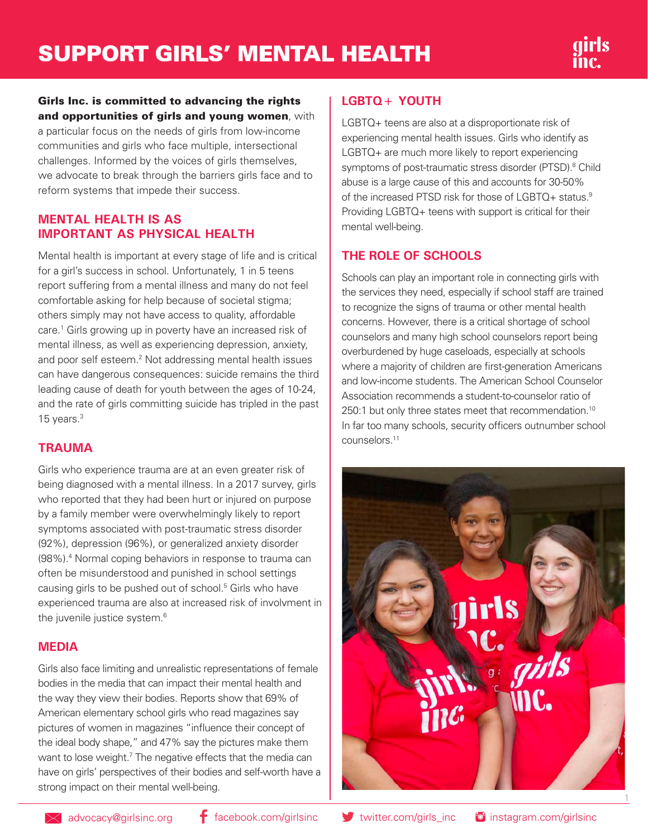## Girls Inc. is committed to advancing the rights and opportunities of girls and young women, with

a particular focus on the needs of girls from low-income communities and girls who face multiple, intersectional challenges. Informed by the voices of girls themselves, we advocate to break through the barriers girls face and to reform systems that impede their success.

## **MENTAL HEALTH IS AS IMPORTANT AS PHYSICAL HEALTH**

Mental health is important at every stage of life and is critical for a girl's success in school. Unfortunately, 1 in 5 teens report suffering from a mental illness and many do not feel comfortable asking for help because of societal stigma; others simply may not have access to quality, affordable care.<sup>1</sup> Girls growing up in poverty have an increased risk of mental illness, as well as experiencing depression, anxiety, and poor self esteem.<sup>2</sup> Not addressing mental health issues can have dangerous consequences: suicide remains the third leading cause of death for youth between the ages of 10-24, and the rate of girls committing suicide has tripled in the past 15 years.3

### **TRAUMA**

Girls who experience trauma are at an even greater risk of being diagnosed with a mental illness. In a 2017 survey, girls who reported that they had been hurt or injured on purpose by a family member were overwhelmingly likely to report symptoms associated with post-traumatic stress disorder (92%), depression (96%), or generalized anxiety disorder (98%).4 Normal coping behaviors in response to trauma can often be misunderstood and punished in school settings causing girls to be pushed out of school.<sup>5</sup> Girls who have experienced trauma are also at increased risk of involvment in the juvenile justice system.<sup>6</sup>

### **MEDIA**

Girls also face limiting and unrealistic representations of female bodies in the media that can impact their mental health and the way they view their bodies. Reports show that 69% of American elementary school girls who read magazines say pictures of women in magazines "influence their concept of the ideal body shape," and 47% say the pictures make them want to lose weight.<sup>7</sup> The negative effects that the media can have on girls' perspectives of their bodies and self-worth have a strong impact on their mental well-being.

## **LGBTQ+ YOUTH**

LGBTQ+ teens are also at a disproportionate risk of experiencing mental health issues. Girls who identify as LGBTQ+ are much more likely to report experiencing symptoms of post-traumatic stress disorder (PTSD).<sup>8</sup> Child abuse is a large cause of this and accounts for 30-50% of the increased PTSD risk for those of LGBTQ+ status.<sup>9</sup> Providing LGBTQ+ teens with support is critical for their mental well-being.

# **THE ROLE OF SCHOOLS**

Schools can play an important role in connecting girls with the services they need, especially if school staff are trained to recognize the signs of trauma or other mental health concerns. However, there is a critical shortage of school counselors and many high school counselors report being overburdened by huge caseloads, especially at schools where a majority of children are first-generation Americans and low-income students. The American School Counselor Association recommends a student-to-counselor ratio of 250:1 but only three states meet that recommendation.<sup>10</sup> In far too many schools, security officers outnumber school counselors.11

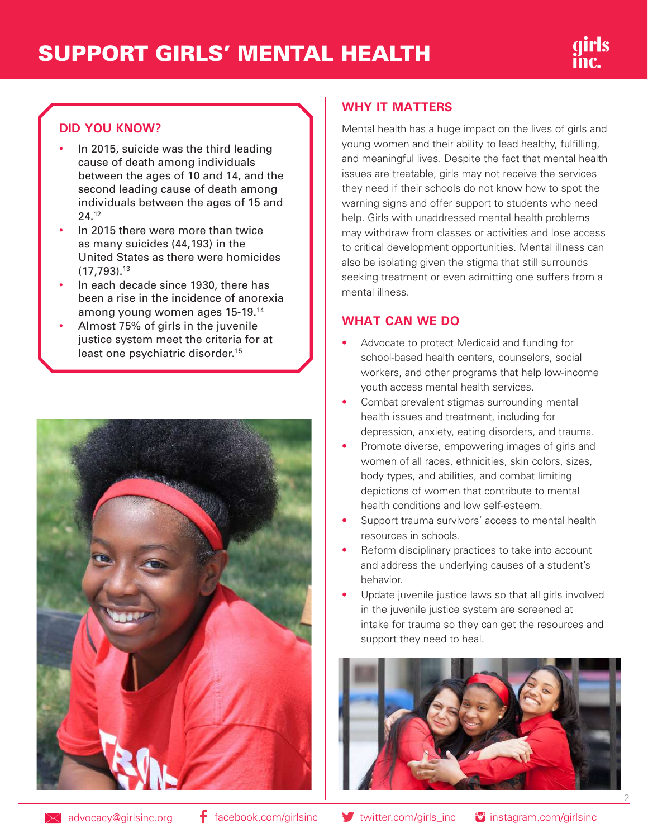# SUPPORT GIRLS' MENTAL HEALTH

# **DID YOU KNOW?**

- In 2015, suicide was the third leading cause of death among individuals between the ages of 10 and 14, and the second leading cause of death among individuals between the ages of 15 and 24.12
- In 2015 there were more than twice as many suicides (44,193) in the United States as there were homicides  $(17.793).$ <sup>13</sup>
- In each decade since 1930, there has been a rise in the incidence of anorexia among young women ages 15-19.14
- Almost 75% of girls in the juvenile justice system meet the criteria for at least one psychiatric disorder.<sup>15</sup>



## **WHY IT MATTERS**

Mental health has a huge impact on the lives of girls and young women and their ability to lead healthy, fulfilling, and meaningful lives. Despite the fact that mental health issues are treatable, girls may not receive the services they need if their schools do not know how to spot the warning signs and offer support to students who need help. Girls with unaddressed mental health problems may withdraw from classes or activities and lose access to critical development opportunities. Mental illness can also be isolating given the stigma that still surrounds seeking treatment or even admitting one suffers from a mental illness.

### **WHAT CAN WE DO**

- Advocate to protect Medicaid and funding for school-based health centers, counselors, social workers, and other programs that help low-income youth access mental health services.
- Combat prevalent stigmas surrounding mental health issues and treatment, including for depression, anxiety, eating disorders, and trauma.
- Promote diverse, empowering images of girls and women of all races, ethnicities, skin colors, sizes, body types, and abilities, and combat limiting depictions of women that contribute to mental health conditions and low self-esteem.
- Support trauma survivors' access to mental health resources in schools.
- Reform disciplinary practices to take into account and address the underlying causes of a student's behavior.
- Update juvenile justice laws so that all girls involved in the juvenile justice system are screened at intake for trauma so they can get the resources and support they need to heal.